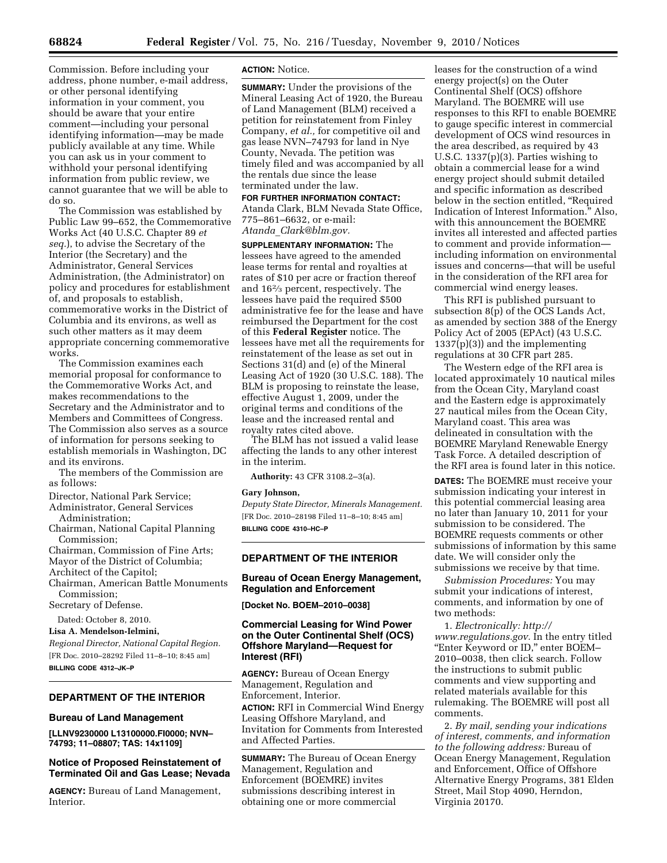Commission. Before including your address, phone number, e-mail address, or other personal identifying information in your comment, you should be aware that your entire comment—including your personal identifying information—may be made publicly available at any time. While you can ask us in your comment to withhold your personal identifying information from public review, we cannot guarantee that we will be able to do so.

The Commission was established by Public Law 99–652, the Commemorative Works Act (40 U.S.C. Chapter 89 *et seq.*), to advise the Secretary of the Interior (the Secretary) and the Administrator, General Services Administration, (the Administrator) on policy and procedures for establishment of, and proposals to establish, commemorative works in the District of Columbia and its environs, as well as such other matters as it may deem appropriate concerning commemorative works.

The Commission examines each memorial proposal for conformance to the Commemorative Works Act, and makes recommendations to the Secretary and the Administrator and to Members and Committees of Congress. The Commission also serves as a source of information for persons seeking to establish memorials in Washington, DC and its environs.

The members of the Commission are as follows:

- Director, National Park Service;
- Administrator, General Services Administration;
- Chairman, National Capital Planning Commission;
- Chairman, Commission of Fine Arts; Mayor of the District of Columbia;
- Architect of the Capitol; Chairman, American Battle Monuments Commission;

Secretary of Defense.

Dated: October 8, 2010.

#### **Lisa A. Mendelson-Ielmini,**

*Regional Director, National Capital Region.*  [FR Doc. 2010–28292 Filed 11–8–10; 8:45 am] **BILLING CODE 4312–JK–P** 

# **DEPARTMENT OF THE INTERIOR**

#### **Bureau of Land Management**

**[LLNV9230000 L13100000.FI0000; NVN– 74793; 11–08807; TAS: 14x1109]** 

# **Notice of Proposed Reinstatement of Terminated Oil and Gas Lease; Nevada**

**AGENCY:** Bureau of Land Management, **Interior** 

### **ACTION:** Notice.

**SUMMARY:** Under the provisions of the Mineral Leasing Act of 1920, the Bureau of Land Management (BLM) received a petition for reinstatement from Finley Company, *et al.,* for competitive oil and gas lease NVN–74793 for land in Nye County, Nevada. The petition was timely filed and was accompanied by all the rentals due since the lease terminated under the law.

**FOR FURTHER INFORMATION CONTACT:**  Atanda Clark, BLM Nevada State Office, 775–861–6632, or e-mail: *Atanda*\_*[Clark@blm.gov.](mailto:Atanda_Clark@blm.gov)* 

**SUPPLEMENTARY INFORMATION:** The lessees have agreed to the amended lease terms for rental and royalties at rates of \$10 per acre or fraction thereof and 162⁄3 percent, respectively. The lessees have paid the required \$500 administrative fee for the lease and have reimbursed the Department for the cost of this **Federal Register** notice. The lessees have met all the requirements for reinstatement of the lease as set out in Sections 31(d) and (e) of the Mineral Leasing Act of 1920 (30 U.S.C. 188). The BLM is proposing to reinstate the lease, effective August 1, 2009, under the original terms and conditions of the lease and the increased rental and royalty rates cited above.

The BLM has not issued a valid lease affecting the lands to any other interest in the interim.

**Authority:** 43 CFR 3108.2–3(a).

#### **Gary Johnson,**

*Deputy State Director, Minerals Management.*  [FR Doc. 2010–28198 Filed 11–8–10; 8:45 am] **BILLING CODE 4310–HC–P** 

## **DEPARTMENT OF THE INTERIOR**

## **Bureau of Ocean Energy Management, Regulation and Enforcement**

**[Docket No. BOEM–2010–0038]** 

# **Commercial Leasing for Wind Power on the Outer Continental Shelf (OCS) Offshore Maryland—Request for Interest (RFI)**

**AGENCY:** Bureau of Ocean Energy Management, Regulation and Enforcement, Interior. **ACTION:** RFI in Commercial Wind Energy Leasing Offshore Maryland, and Invitation for Comments from Interested and Affected Parties.

**SUMMARY:** The Bureau of Ocean Energy Management, Regulation and Enforcement (BOEMRE) invites submissions describing interest in obtaining one or more commercial

leases for the construction of a wind energy project(s) on the Outer Continental Shelf (OCS) offshore Maryland. The BOEMRE will use responses to this RFI to enable BOEMRE to gauge specific interest in commercial development of OCS wind resources in the area described, as required by 43 U.S.C. 1337(p)(3). Parties wishing to obtain a commercial lease for a wind energy project should submit detailed and specific information as described below in the section entitled, ''Required Indication of Interest Information.'' Also, with this announcement the BOEMRE invites all interested and affected parties to comment and provide information including information on environmental issues and concerns—that will be useful in the consideration of the RFI area for commercial wind energy leases.

This RFI is published pursuant to subsection 8(p) of the OCS Lands Act, as amended by section 388 of the Energy Policy Act of 2005 (EPAct) (43 U.S.C. 1337(p)(3)) and the implementing regulations at 30 CFR part 285.

The Western edge of the RFI area is located approximately 10 nautical miles from the Ocean City, Maryland coast and the Eastern edge is approximately 27 nautical miles from the Ocean City, Maryland coast. This area was delineated in consultation with the BOEMRE Maryland Renewable Energy Task Force. A detailed description of the RFI area is found later in this notice.

**DATES:** The BOEMRE must receive your submission indicating your interest in this potential commercial leasing area no later than January 10, 2011 for your submission to be considered. The BOEMRE requests comments or other submissions of information by this same date. We will consider only the submissions we receive by that time.

*Submission Procedures:* You may submit your indications of interest, comments, and information by one of two methods:

1. *Electronically: [http://](http://www.regulations.gov) [www.regulations.gov.](http://www.regulations.gov)* In the entry titled ''Enter Keyword or ID,'' enter BOEM– 2010–0038, then click search. Follow the instructions to submit public comments and view supporting and related materials available for this rulemaking. The BOEMRE will post all comments.

2. *By mail, sending your indications of interest, comments, and information to the following address:* Bureau of Ocean Energy Management, Regulation and Enforcement, Office of Offshore Alternative Energy Programs, 381 Elden Street, Mail Stop 4090, Herndon, Virginia 20170.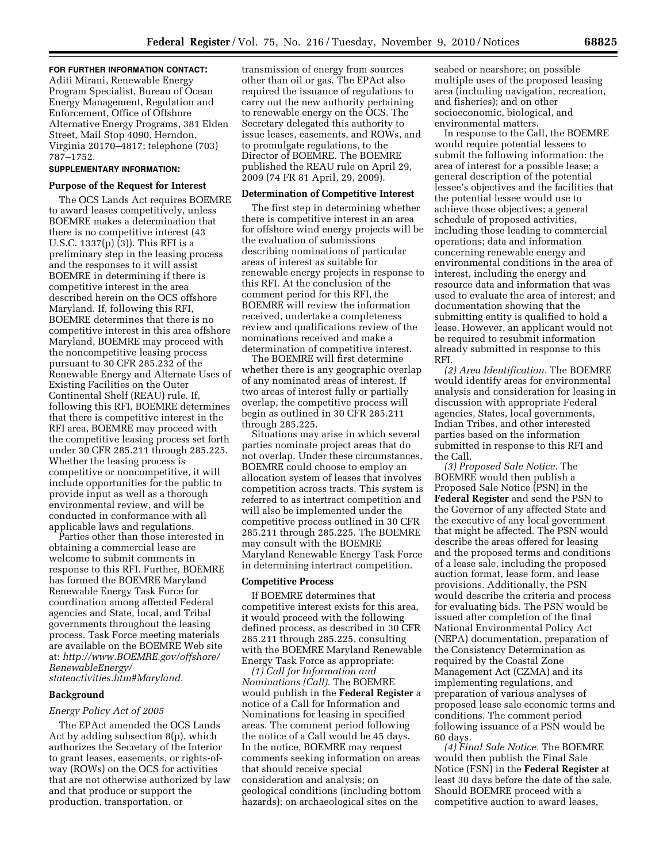## **FOR FURTHER INFORMATION CONTACT:**

Aditi Mirani, Renewable Energy Program Specialist, Bureau of Ocean Energy Management, Regulation and Enforcement, Office of Offshore Alternative Energy Programs, 381 Elden Street, Mail Stop 4090, Herndon, Virginia 20170–4817; telephone (703) 787–1752.

### **SUPPLEMENTARY INFORMATION:**

#### **Purpose of the Request for Interest**

The OCS Lands Act requires BOEMRE to award leases competitively, unless BOEMRE makes a determination that there is no competitive interest (43 U.S.C. 1337(p) (3)). This RFI is a preliminary step in the leasing process and the responses to it will assist BOEMRE in determining if there is competitive interest in the area described herein on the OCS offshore Maryland. If, following this RFI, BOEMRE determines that there is no competitive interest in this area offshore Maryland, BOEMRE may proceed with the noncompetitive leasing process pursuant to 30 CFR 285.232 of the Renewable Energy and Alternate Uses of Existing Facilities on the Outer Continental Shelf (REAU) rule. If, following this RFI, BOEMRE determines that there is competitive interest in the RFI area, BOEMRE may proceed with the competitive leasing process set forth under 30 CFR 285.211 through 285.225. Whether the leasing process is competitive or noncompetitive, it will include opportunities for the public to provide input as well as a thorough environmental review, and will be conducted in conformance with all applicable laws and regulations.

Parties other than those interested in obtaining a commercial lease are welcome to submit comments in response to this RFI. Further, BOEMRE has formed the BOEMRE Maryland Renewable Energy Task Force for coordination among affected Federal agencies and State, local, and Tribal governments throughout the leasing process. Task Force meeting materials are available on the BOEMRE Web site at: *[http://www.BOEMRE.gov/offshore/](http://www.BOEMRE.gov/offshore/RenewableEnergy/stateactivities.htm#Maryland)  [RenewableEnergy/](http://www.BOEMRE.gov/offshore/RenewableEnergy/stateactivities.htm#Maryland) [stateactivities.htm#Maryland.](http://www.BOEMRE.gov/offshore/RenewableEnergy/stateactivities.htm#Maryland)* 

#### **Background**

# *Energy Policy Act of 2005*

The EPAct amended the OCS Lands Act by adding subsection 8(p), which authorizes the Secretary of the Interior to grant leases, easements, or rights-ofway (ROWs) on the OCS for activities that are not otherwise authorized by law and that produce or support the production, transportation, or

transmission of energy from sources other than oil or gas. The EPAct also required the issuance of regulations to carry out the new authority pertaining to renewable energy on the OCS. The Secretary delegated this authority to issue leases, easements, and ROWs, and to promulgate regulations, to the Director of BOEMRE. The BOEMRE published the REAU rule on April 29, 2009 (74 FR 81 April, 29, 2009).

#### **Determination of Competitive Interest**

The first step in determining whether there is competitive interest in an area for offshore wind energy projects will be the evaluation of submissions describing nominations of particular areas of interest as suitable for renewable energy projects in response to this RFI. At the conclusion of the comment period for this RFI, the BOEMRE will review the information received, undertake a completeness review and qualifications review of the nominations received and make a determination of competitive interest.

The BOEMRE will first determine whether there is any geographic overlap of any nominated areas of interest. If two areas of interest fully or partially overlap, the competitive process will begin as outlined in 30 CFR 285.211 through 285.225.

Situations may arise in which several parties nominate project areas that do not overlap. Under these circumstances, BOEMRE could choose to employ an allocation system of leases that involves competition across tracts. This system is referred to as intertract competition and will also be implemented under the competitive process outlined in 30 CFR 285.211 through 285.225. The BOEMRE may consult with the BOEMRE Maryland Renewable Energy Task Force in determining intertract competition.

### **Competitive Process**

If BOEMRE determines that competitive interest exists for this area, it would proceed with the following defined process, as described in 30 CFR 285.211 through 285.225, consulting with the BOEMRE Maryland Renewable Energy Task Force as appropriate:

*(1) Call for Information and Nominations (Call).* The BOEMRE would publish in the **Federal Register** a notice of a Call for Information and Nominations for leasing in specified areas. The comment period following the notice of a Call would be 45 days. In the notice, BOEMRE may request comments seeking information on areas that should receive special consideration and analysis; on geological conditions (including bottom hazards); on archaeological sites on the

seabed or nearshore; on possible multiple uses of the proposed leasing area (including navigation, recreation, and fisheries); and on other socioeconomic, biological, and environmental matters.

In response to the Call, the BOEMRE would require potential lessees to submit the following information: the area of interest for a possible lease; a general description of the potential lessee's objectives and the facilities that the potential lessee would use to achieve those objectives; a general schedule of proposed activities, including those leading to commercial operations; data and information concerning renewable energy and environmental conditions in the area of interest, including the energy and resource data and information that was used to evaluate the area of interest; and documentation showing that the submitting entity is qualified to hold a lease. However, an applicant would not be required to resubmit information already submitted in response to this RFI.

*(2) Area Identification.* The BOEMRE would identify areas for environmental analysis and consideration for leasing in discussion with appropriate Federal agencies, States, local governments, Indian Tribes, and other interested parties based on the information submitted in response to this RFI and the Call.

*(3) Proposed Sale Notice.* The BOEMRE would then publish a Proposed Sale Notice (PSN) in the **Federal Register** and send the PSN to the Governor of any affected State and the executive of any local government that might be affected. The PSN would describe the areas offered for leasing and the proposed terms and conditions of a lease sale, including the proposed auction format, lease form, and lease provisions. Additionally, the PSN would describe the criteria and process for evaluating bids. The PSN would be issued after completion of the final National Environmental Policy Act (NEPA) documentation, preparation of the Consistency Determination as required by the Coastal Zone Management Act (CZMA) and its implementing regulations, and preparation of various analyses of proposed lease sale economic terms and conditions. The comment period following issuance of a PSN would be 60 days.

*(4) Final Sale Notice.* The BOEMRE would then publish the Final Sale Notice (FSN) in the **Federal Register** at least 30 days before the date of the sale. Should BOEMRE proceed with a competitive auction to award leases,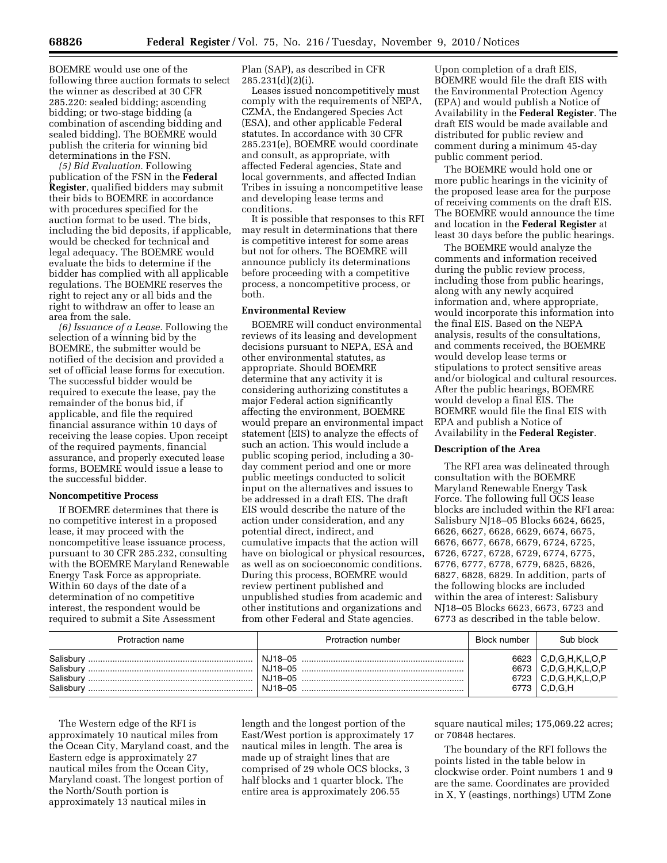BOEMRE would use one of the following three auction formats to select the winner as described at 30 CFR 285.220: sealed bidding; ascending bidding; or two-stage bidding (a combination of ascending bidding and sealed bidding). The BOEMRE would publish the criteria for winning bid determinations in the FSN.

*(5) Bid Evaluation.* Following publication of the FSN in the **Federal Register**, qualified bidders may submit their bids to BOEMRE in accordance with procedures specified for the auction format to be used. The bids, including the bid deposits, if applicable, would be checked for technical and legal adequacy. The BOEMRE would evaluate the bids to determine if the bidder has complied with all applicable regulations. The BOEMRE reserves the right to reject any or all bids and the right to withdraw an offer to lease an area from the sale.

*(6) Issuance of a Lease.* Following the selection of a winning bid by the BOEMRE, the submitter would be notified of the decision and provided a set of official lease forms for execution. The successful bidder would be required to execute the lease, pay the remainder of the bonus bid, if applicable, and file the required financial assurance within 10 days of receiving the lease copies. Upon receipt of the required payments, financial assurance, and properly executed lease forms, BOEMRE would issue a lease to the successful bidder.

#### **Noncompetitive Process**

If BOEMRE determines that there is no competitive interest in a proposed lease, it may proceed with the noncompetitive lease issuance process, pursuant to 30 CFR 285.232, consulting with the BOEMRE Maryland Renewable Energy Task Force as appropriate. Within 60 days of the date of a determination of no competitive interest, the respondent would be required to submit a Site Assessment

Plan (SAP), as described in CFR 285.231(d)(2)(i).

Leases issued noncompetitively must comply with the requirements of NEPA, CZMA, the Endangered Species Act (ESA), and other applicable Federal statutes. In accordance with 30 CFR 285.231(e), BOEMRE would coordinate and consult, as appropriate, with affected Federal agencies, State and local governments, and affected Indian Tribes in issuing a noncompetitive lease and developing lease terms and conditions.

It is possible that responses to this RFI may result in determinations that there is competitive interest for some areas but not for others. The BOEMRE will announce publicly its determinations before proceeding with a competitive process, a noncompetitive process, or both.

# **Environmental Review**

BOEMRE will conduct environmental reviews of its leasing and development decisions pursuant to NEPA, ESA and other environmental statutes, as appropriate. Should BOEMRE determine that any activity it is considering authorizing constitutes a major Federal action significantly affecting the environment, BOEMRE would prepare an environmental impact statement (EIS) to analyze the effects of such an action. This would include a public scoping period, including a 30 day comment period and one or more public meetings conducted to solicit input on the alternatives and issues to be addressed in a draft EIS. The draft EIS would describe the nature of the action under consideration, and any potential direct, indirect, and cumulative impacts that the action will have on biological or physical resources, as well as on socioeconomic conditions. During this process, BOEMRE would review pertinent published and unpublished studies from academic and other institutions and organizations and from other Federal and State agencies.

Upon completion of a draft EIS, BOEMRE would file the draft EIS with the Environmental Protection Agency (EPA) and would publish a Notice of Availability in the **Federal Register**. The draft EIS would be made available and distributed for public review and comment during a minimum 45-day public comment period.

The BOEMRE would hold one or more public hearings in the vicinity of the proposed lease area for the purpose of receiving comments on the draft EIS. The BOEMRE would announce the time and location in the **Federal Register** at least 30 days before the public hearings.

The BOEMRE would analyze the comments and information received during the public review process, including those from public hearings, along with any newly acquired information and, where appropriate, would incorporate this information into the final EIS. Based on the NEPA analysis, results of the consultations, and comments received, the BOEMRE would develop lease terms or stipulations to protect sensitive areas and/or biological and cultural resources. After the public hearings, BOEMRE would develop a final EIS. The BOEMRE would file the final EIS with EPA and publish a Notice of Availability in the **Federal Register**.

## **Description of the Area**

The RFI area was delineated through consultation with the BOEMRE Maryland Renewable Energy Task Force. The following full OCS lease blocks are included within the RFI area: Salisbury NJ18–05 Blocks 6624, 6625, 6626, 6627, 6628, 6629, 6674, 6675, 6676, 6677, 6678, 6679, 6724, 6725, 6726, 6727, 6728, 6729, 6774, 6775, 6776, 6777, 6778, 6779, 6825, 6826, 6827, 6828, 6829. In addition, parts of the following blocks are included within the area of interest: Salisbury NJ18–05 Blocks 6623, 6673, 6723 and 6773 as described in the table below.

| Protraction name                                 | Protraction number                       | Block number                 | Sub block                                                        |
|--------------------------------------------------|------------------------------------------|------------------------------|------------------------------------------------------------------|
| Salisbury<br>Salisbury<br>Salisbury<br>Salisbury | NJ18–05<br>NJ18-05<br>NJ18-05<br>NJ18-05 | 6623<br>6673<br>6723<br>6773 | C.D.G.H.K.L.O.P<br>C,D,G,H,K,L,O,P<br>C.D.G.H.K.L.O.P<br>C.D.G.H |

The Western edge of the RFI is approximately 10 nautical miles from the Ocean City, Maryland coast, and the Eastern edge is approximately 27 nautical miles from the Ocean City, Maryland coast. The longest portion of the North/South portion is approximately 13 nautical miles in

length and the longest portion of the East/West portion is approximately 17 nautical miles in length. The area is made up of straight lines that are comprised of 29 whole OCS blocks, 3 half blocks and 1 quarter block. The entire area is approximately 206.55

square nautical miles; 175,069.22 acres; or 70848 hectares.

The boundary of the RFI follows the points listed in the table below in clockwise order. Point numbers 1 and 9 are the same. Coordinates are provided in X, Y (eastings, northings) UTM Zone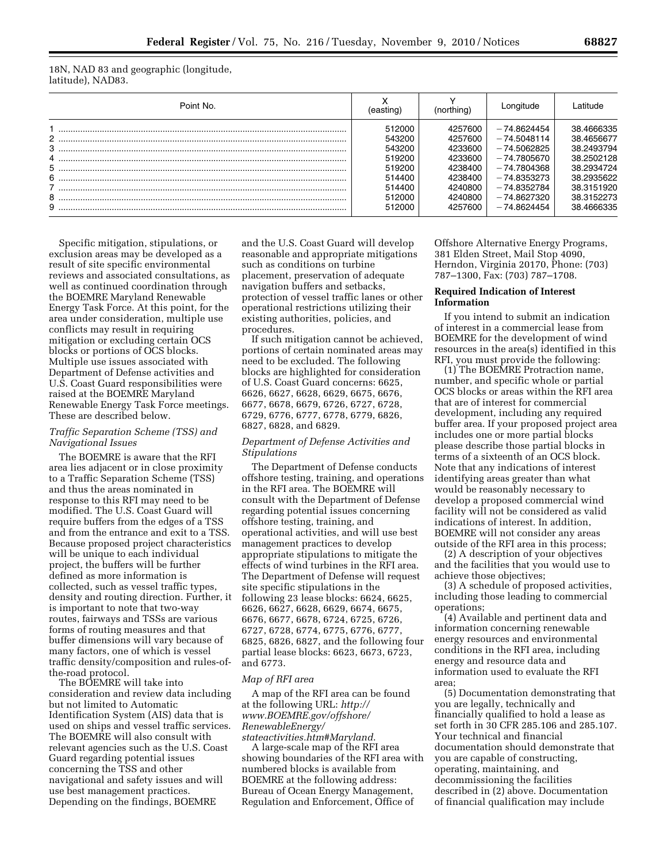18N, NAD 83 and geographic (longitude, latitude), NAD83.

| Point No.   | easting                                                                                | (northing)                                                                                      | _onaitude                                                                                                                                         | l atitude                                                                                                                  |
|-------------|----------------------------------------------------------------------------------------|-------------------------------------------------------------------------------------------------|---------------------------------------------------------------------------------------------------------------------------------------------------|----------------------------------------------------------------------------------------------------------------------------|
| 6<br>8<br>9 | 512000<br>543200<br>543200<br>519200<br>519200<br>514400<br>514400<br>512000<br>512000 | 4257600<br>4257600<br>4233600<br>4233600<br>4238400<br>4238400<br>4240800<br>4240800<br>4257600 | $-74.8624454$<br>$-74.5048114$<br>-74.5062825<br>- 74.7805670<br>$-74.7804368$<br>$-74.8353273$<br>$-74.8352784$<br>$-74.8627320$<br>$-748624454$ | 38.4666335<br>38.4656677<br>38.2493794<br>38.2502128<br>38.2934724<br>38.2935622<br>38.3151920<br>38.3152273<br>38.4666335 |

Specific mitigation, stipulations, or exclusion areas may be developed as a result of site specific environmental reviews and associated consultations, as well as continued coordination through the BOEMRE Maryland Renewable Energy Task Force. At this point, for the area under consideration, multiple use conflicts may result in requiring mitigation or excluding certain OCS blocks or portions of OCS blocks. Multiple use issues associated with Department of Defense activities and U.S. Coast Guard responsibilities were raised at the BOEMRE Maryland Renewable Energy Task Force meetings. These are described below.

# *Traffic Separation Scheme (TSS) and Navigational Issues*

The BOEMRE is aware that the RFI area lies adjacent or in close proximity to a Traffic Separation Scheme (TSS) and thus the areas nominated in response to this RFI may need to be modified. The U.S. Coast Guard will require buffers from the edges of a TSS and from the entrance and exit to a TSS. Because proposed project characteristics will be unique to each individual project, the buffers will be further defined as more information is collected, such as vessel traffic types, density and routing direction. Further, it is important to note that two-way routes, fairways and TSSs are various forms of routing measures and that buffer dimensions will vary because of many factors, one of which is vessel traffic density/composition and rules-ofthe-road protocol.

The BOEMRE will take into consideration and review data including but not limited to Automatic Identification System (AIS) data that is used on ships and vessel traffic services. The BOEMRE will also consult with relevant agencies such as the U.S. Coast Guard regarding potential issues concerning the TSS and other navigational and safety issues and will use best management practices. Depending on the findings, BOEMRE

and the U.S. Coast Guard will develop reasonable and appropriate mitigations such as conditions on turbine placement, preservation of adequate navigation buffers and setbacks, protection of vessel traffic lanes or other operational restrictions utilizing their existing authorities, policies, and procedures.

If such mitigation cannot be achieved, portions of certain nominated areas may need to be excluded. The following blocks are highlighted for consideration of U.S. Coast Guard concerns: 6625, 6626, 6627, 6628, 6629, 6675, 6676, 6677, 6678, 6679, 6726, 6727, 6728, 6729, 6776, 6777, 6778, 6779, 6826, 6827, 6828, and 6829.

## *Department of Defense Activities and Stipulations*

The Department of Defense conducts offshore testing, training, and operations in the RFI area. The BOEMRE will consult with the Department of Defense regarding potential issues concerning offshore testing, training, and operational activities, and will use best management practices to develop appropriate stipulations to mitigate the effects of wind turbines in the RFI area. The Department of Defense will request site specific stipulations in the following 23 lease blocks: 6624, 6625, 6626, 6627, 6628, 6629, 6674, 6675, 6676, 6677, 6678, 6724, 6725, 6726, 6727, 6728, 6774, 6775, 6776, 6777, 6825, 6826, 6827, and the following four partial lease blocks: 6623, 6673, 6723, and 6773.

#### *Map of RFI area*

A map of the RFI area can be found at the following URL: *[http://](http://www.BOEMRE.gov/offshore/RenewableEnergy/stateactivities.htm#Maryland) [www.BOEMRE.gov/offshore/](http://www.BOEMRE.gov/offshore/RenewableEnergy/stateactivities.htm#Maryland) [RenewableEnergy/](http://www.BOEMRE.gov/offshore/RenewableEnergy/stateactivities.htm#Maryland) [stateactivities.htm#Maryland](http://www.BOEMRE.gov/offshore/RenewableEnergy/stateactivities.htm#Maryland)*.

A large-scale map of the RFI area showing boundaries of the RFI area with numbered blocks is available from BOEMRE at the following address: Bureau of Ocean Energy Management, Regulation and Enforcement, Office of

Offshore Alternative Energy Programs, 381 Elden Street, Mail Stop 4090, Herndon, Virginia 20170, Phone: (703) 787–1300, Fax: (703) 787–1708.

#### **Required Indication of Interest Information**

If you intend to submit an indication of interest in a commercial lease from BOEMRE for the development of wind resources in the area(s) identified in this RFI, you must provide the following:

(1) The BOEMRE Protraction name, number, and specific whole or partial OCS blocks or areas within the RFI area that are of interest for commercial development, including any required buffer area. If your proposed project area includes one or more partial blocks please describe those partial blocks in terms of a sixteenth of an OCS block. Note that any indications of interest identifying areas greater than what would be reasonably necessary to develop a proposed commercial wind facility will not be considered as valid indications of interest. In addition, BOEMRE will not consider any areas outside of the RFI area in this process;

(2) A description of your objectives and the facilities that you would use to achieve those objectives;

(3) A schedule of proposed activities, including those leading to commercial operations;

(4) Available and pertinent data and information concerning renewable energy resources and environmental conditions in the RFI area, including energy and resource data and information used to evaluate the RFI area;

(5) Documentation demonstrating that you are legally, technically and financially qualified to hold a lease as set forth in 30 CFR 285.106 and 285.107. Your technical and financial documentation should demonstrate that you are capable of constructing, operating, maintaining, and decommissioning the facilities described in (2) above. Documentation of financial qualification may include